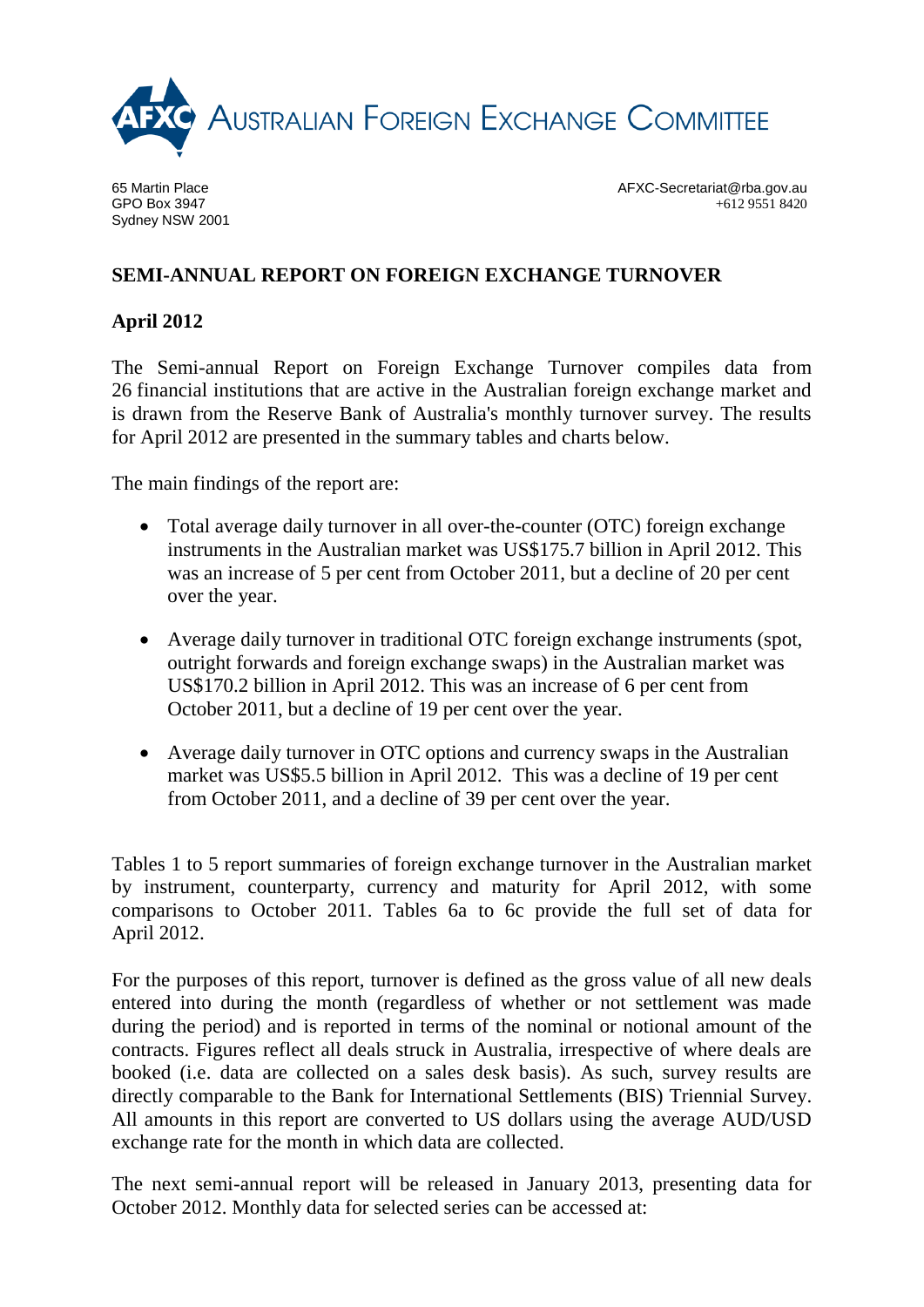

65 Martin Place GPO Box 3947 Sydney NSW 2001 AFXC-Secretariat@rba.gov.au +612 9551 8420

## **SEMI-ANNUAL REPORT ON FOREIGN EXCHANGE TURNOVER**

## **April 2012**

The Semi-annual Report on Foreign Exchange Turnover compiles data from 26 financial institutions that are active in the Australian foreign exchange market and is drawn from the Reserve Bank of Australia's monthly turnover survey. The results for April 2012 are presented in the summary tables and charts below.

The main findings of the report are:

- Total average daily turnover in all over-the-counter (OTC) foreign exchange instruments in the Australian market was US\$175.7 billion in April 2012. This was an increase of 5 per cent from October 2011, but a decline of 20 per cent over the year.
- Average daily turnover in traditional OTC foreign exchange instruments (spot, outright forwards and foreign exchange swaps) in the Australian market was US\$170.2 billion in April 2012. This was an increase of 6 per cent from October 2011, but a decline of 19 per cent over the year.
- Average daily turnover in OTC options and currency swaps in the Australian market was US\$5.5 billion in April 2012. This was a decline of 19 per cent from October 2011, and a decline of 39 per cent over the year.

Tables 1 to 5 report summaries of foreign exchange turnover in the Australian market by instrument, counterparty, currency and maturity for April 2012, with some comparisons to October 2011. Tables 6a to 6c provide the full set of data for April 2012.

For the purposes of this report, turnover is defined as the gross value of all new deals entered into during the month (regardless of whether or not settlement was made during the period) and is reported in terms of the nominal or notional amount of the contracts. Figures reflect all deals struck in Australia, irrespective of where deals are booked (i.e. data are collected on a sales desk basis). As such, survey results are directly comparable to the Bank for International Settlements (BIS) Triennial Survey. All amounts in this report are converted to US dollars using the average AUD/USD exchange rate for the month in which data are collected.

The next semi-annual report will be released in January 2013, presenting data for October 2012. Monthly data for selected series can be accessed at: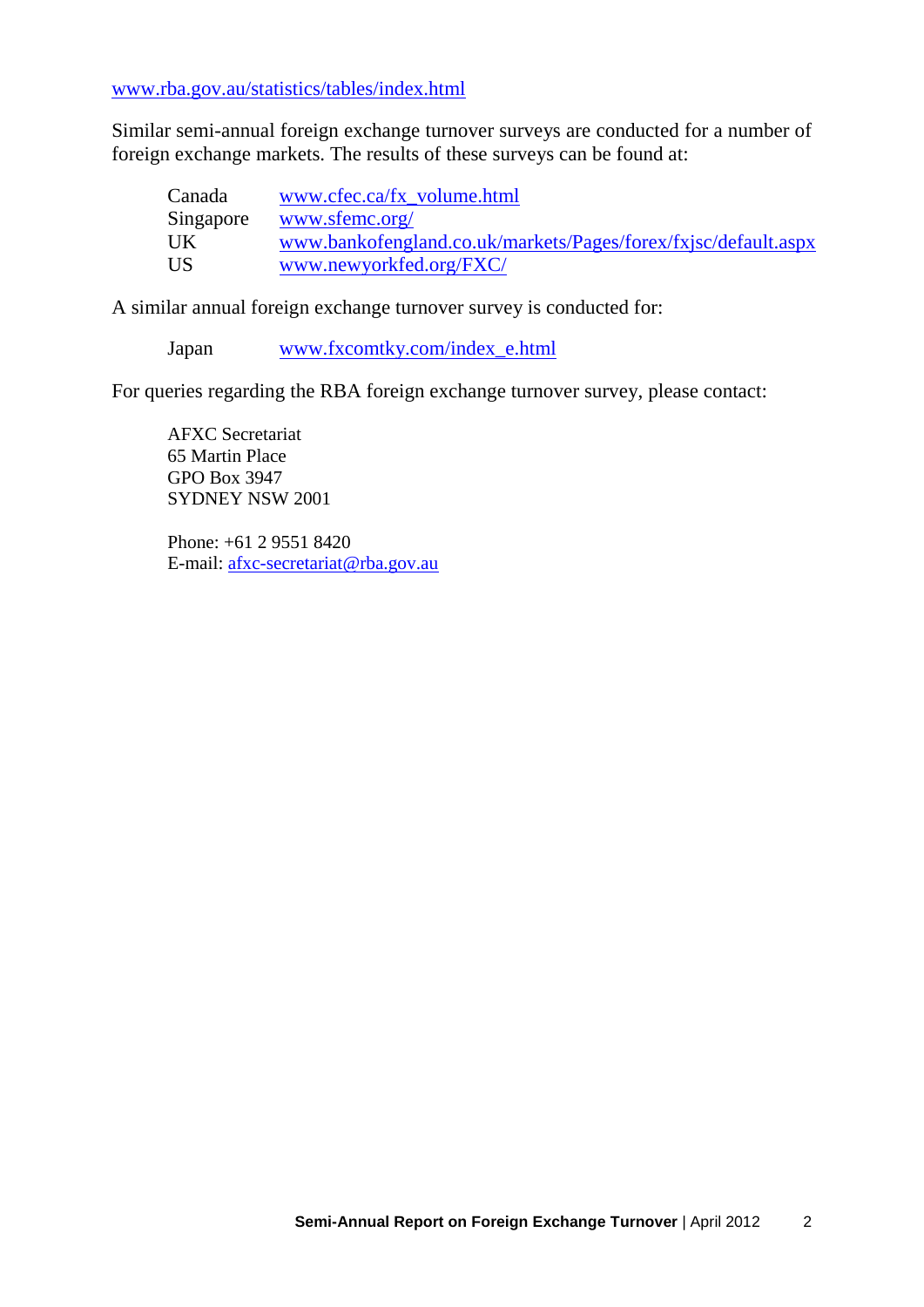[www.rba.gov.au/statistics/tables/index.html](http://www.rba.gov.au/statistics/tables/index.html)

Similar semi-annual foreign exchange turnover surveys are conducted for a number of foreign exchange markets. The results of these surveys can be found at:

| Canada    | www.cfec.ca/fx volume.html                                     |
|-----------|----------------------------------------------------------------|
| Singapore | www.sfemc.org/                                                 |
| UK        | www.bankofengland.co.uk/markets/Pages/forex/fxjsc/default.aspx |
| US        | www.newyorkfed.org/FXC/                                        |

A similar annual foreign exchange turnover survey is conducted for:

Japan [www.fxcomtky.com/index\\_e.html](http://www.fxcomtky.com/index_e.html)

For queries regarding the RBA foreign exchange turnover survey, please contact:

AFXC Secretariat 65 Martin Place GPO Box 3947 SYDNEY NSW 2001

Phone: +61 2 9551 8420 E-mail: [afxc-secretariat@rba.gov.au](mailto:afxc-secretariat@rba.gov.au)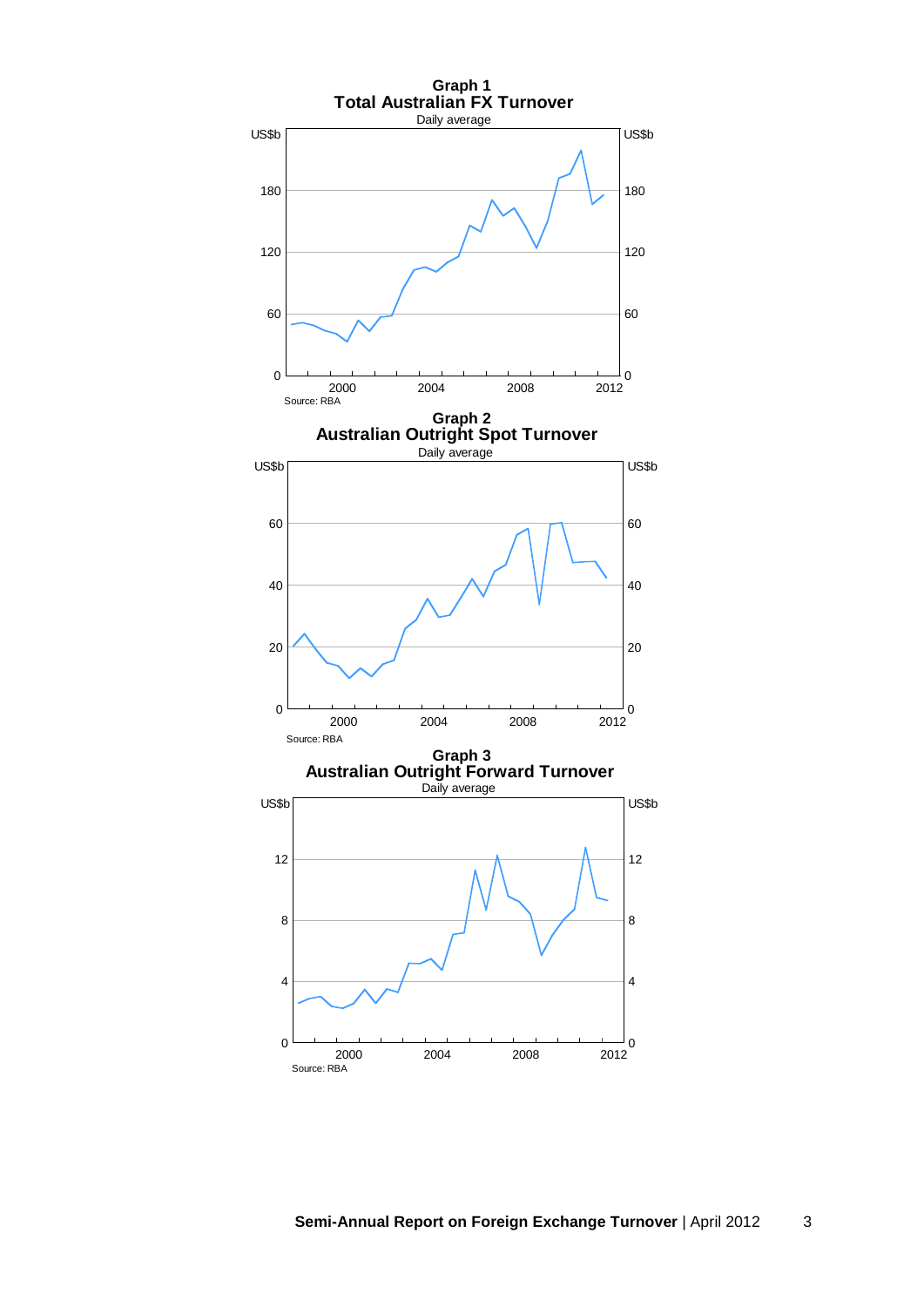